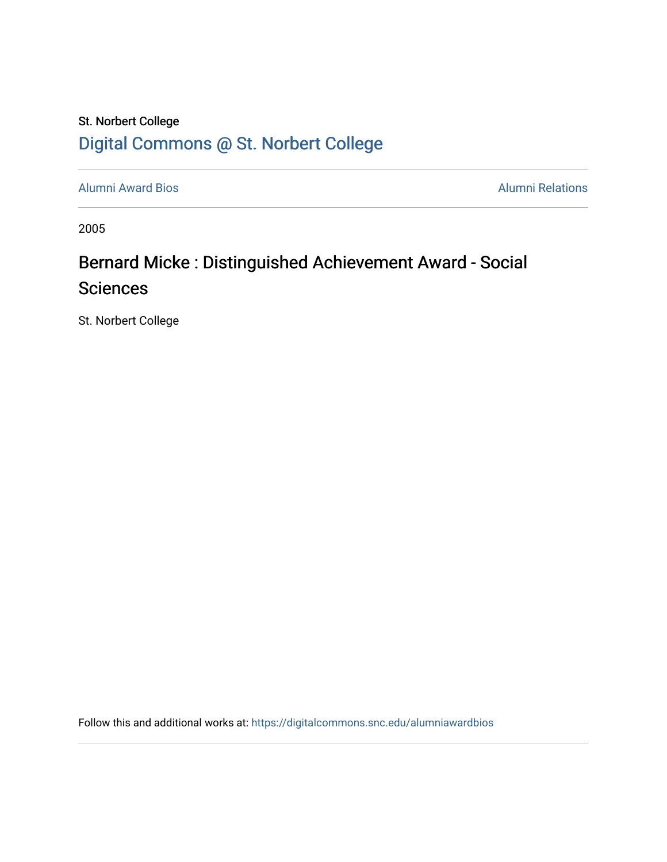## St. Norbert College [Digital Commons @ St. Norbert College](https://digitalcommons.snc.edu/)

[Alumni Award Bios](https://digitalcommons.snc.edu/alumniawardbios) **Alumni Relations** Alumni Relations

2005

# Bernard Micke : Distinguished Achievement Award - Social **Sciences**

St. Norbert College

Follow this and additional works at: [https://digitalcommons.snc.edu/alumniawardbios](https://digitalcommons.snc.edu/alumniawardbios?utm_source=digitalcommons.snc.edu%2Falumniawardbios%2F23&utm_medium=PDF&utm_campaign=PDFCoverPages)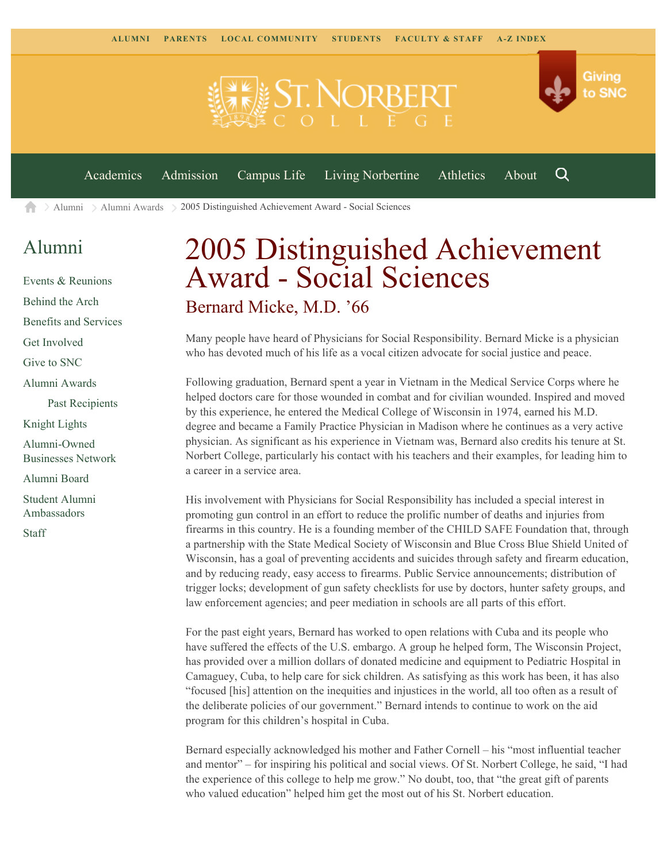

 $\geq$  [Alumni](https://www.snc.edu/alumni/)  $\geq$  [Alumni Awards](https://www.snc.edu/alumni/awards/)  $\geq$  2005 Distinguished Achievement Award - Social Sciences A

#### [Alumni](https://www.snc.edu/alumni/index.html)

[Events & Reunions](https://www.snc.edu/alumni/event/index.html) [Behind the Arch](https://www.snc.edu/alumni/event/behindthearch/) [Benefits and Services](https://www.snc.edu/alumni/benefits.html) [Get Involved](https://www.snc.edu/alumni/getinvolved.html) [Give to SNC](http://giving.snc.edu/) [Alumni Awards](https://www.snc.edu/alumni/awards/index.html) [Past Recipients](https://www.snc.edu/alumni/awards/recipients.html) [Knight Lights](https://www.snc.edu/alumni/knightlights/index.html) [Alumni-Owned](https://www.snc.edu/alumni/directory/index.html) [Businesses Network](https://www.snc.edu/alumni/directory/index.html) [Alumni Board](https://www.snc.edu/alumni/alumniboard.html) [Student Alumni](https://www.snc.edu/alumni/saa.html) [Ambassadors](https://www.snc.edu/alumni/saa.html) [Staff](https://www.snc.edu/alumni/contactus.html)

# 2005 Distinguished Achievement Award - Social Sciences Bernard Micke, M.D. '66

Many people have heard of Physicians for Social Responsibility. Bernard Micke is a physician who has devoted much of his life as a vocal citizen advocate for social justice and peace.

Following graduation, Bernard spent a year in Vietnam in the Medical Service Corps where he helped doctors care for those wounded in combat and for civilian wounded. Inspired and moved by this experience, he entered the Medical College of Wisconsin in 1974, earned his M.D. degree and became a Family Practice Physician in Madison where he continues as a very active physician. As significant as his experience in Vietnam was, Bernard also credits his tenure at St. Norbert College, particularly his contact with his teachers and their examples, for leading him to a career in a service area.

His involvement with Physicians for Social Responsibility has included a special interest in promoting gun control in an effort to reduce the prolific number of deaths and injuries from firearms in this country. He is a founding member of the CHILD SAFE Foundation that, through a partnership with the State Medical Society of Wisconsin and Blue Cross Blue Shield United of Wisconsin, has a goal of preventing accidents and suicides through safety and firearm education, and by reducing ready, easy access to firearms. Public Service announcements; distribution of trigger locks; development of gun safety checklists for use by doctors, hunter safety groups, and law enforcement agencies; and peer mediation in schools are all parts of this effort.

For the past eight years, Bernard has worked to open relations with Cuba and its people who have suffered the effects of the U.S. embargo. A group he helped form, The Wisconsin Project, has provided over a million dollars of donated medicine and equipment to Pediatric Hospital in Camaguey, Cuba, to help care for sick children. As satisfying as this work has been, it has also "focused [his] attention on the inequities and injustices in the world, all too often as a result of the deliberate policies of our government." Bernard intends to continue to work on the aid program for this children's hospital in Cuba.

Bernard especially acknowledged his mother and Father Cornell – his "most influential teacher and mentor" – for inspiring his political and social views. Of St. Norbert College, he said, "I had the experience of this college to help me grow." No doubt, too, that "the great gift of parents who valued education" helped him get the most out of his St. Norbert education.